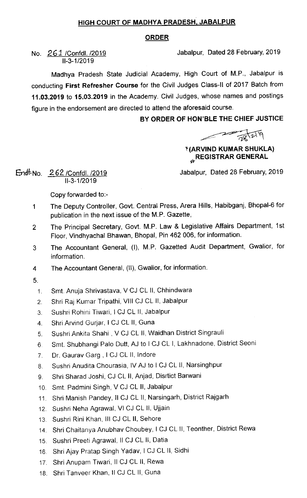## HIGH COURT OF MADHYA PRADESH, JABALPUR

## ORDER

## 11-3-1 /2019

No. 261 /Confdl. /2019 Jabalpur, Dated 28 February, 2019

Madhya Pradesh State Judicial Academy, High Court of M.P., Jabalpur is conducting First Refresher Course for the Civil Judges Class-ll of 2017 Batch from 11.03.2019 to 15.03.2019 in the Academy. Civil Judges, whose names and postings figure in the endorsement are directed to attend the aforesaid course.

BY ORDER OF HON'BLE THE CHIEF JUSTICE

 $270$ 

**\*(ARVIND KUMAR SHUKLA)**  $\alpha$ REGISTRAR GENERAL

Jabalpur, Dated 28 February, 2019

End+.No. 262/Confdl. /2019 11-3-1 /2019

Copy forwarded to:-

- The Deputy Controller, Govt. Central Press, Arera Hills, Habibganj, Bhopal-6 for  $\mathbf{1}$ publication in the next issue of the M.P. Gazette,
- The Principal Secretary, Govt. M.P. Law & Legislative Affairs Department,1st  $\overline{2}$ Floor, Vindhyachal Bhawan, Bhopal, Pin 462 006, for information.
- The Accountant General, (I), M.P. Gazetted Audit Department, Gwalior, for 3 information.
- 4 The Accountant General, (ll), Gwalior, for information.
- 5.
	- 1. Smt. Anuja shrivastava, VCJ CL Il, Chhindwara
	- 2. Shri Raj Kumar Tripathi, VIII CJ CL II, Jabalpur
	- 3. Sushri Rohini Tiwari, I CJ CL II, Jabalpur
	- 4. Shri Arvind Gurjar, I CJ CL II, Guna
	- 5. Sushri Ankita Shahi, V CJ CL II, Waidhan District Singrauli
	- 6. Smt. Shubhangi Palo Dutt, AJ to I CJ CL I, Lakhnadone, District Seoni.
	- 7. Dr. Gaurav Garg, I CJ CL II, Indore
	- 8. Sushri Anudita Chourasia, IV AJ to I CJ CL II, Narsinghpur
	- 9. Shri Sharad Joshi, CJ CL II, Anjad, Disrtict Barwani
	- 10. Smt. Padmini Singh, V CJ CL 11, Jabalpur
	- 11. Shri Manish Pandey, II CJ CL II, Narsingarh, District Rajgarh
	- 12. Sushri Neha Agrawal, VI CJ CL 11, Ujjain
	- 13. Sushri Rini Khan, III CJ CL II, Sehore
	- 14. Shri Chaitanya Anubhav Choubey,I CJ CL 11, Teonther, District Rewa
	- 15. Sushri Preeti Agrawal, Il CJ CL II, Datia
	- 16. Shri Ajay Pratap Singh Yadav, I CJ CL II, Sidhi
	- 17. Shri Anupam Tiwari, II CJ CL II, Rewa
	- 18. Shri Tanveer Khan, II CJ CL II, Guna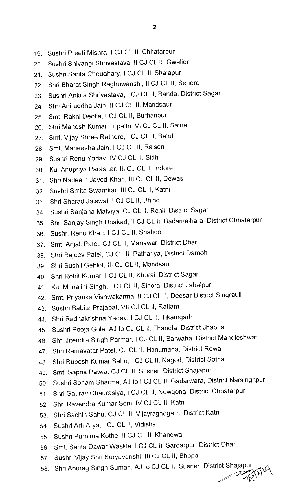- 19. Sushri Preeti Mishra, I CJ CL II, Chhatarpur
- 20. Sushri Shivangi Shrivastava, Il CJ CL II, Gwalior
- 21, Sushri Sarita Choudhary,I CJ CL 11, Shajapur
- 22. Shri Bharat Singh Raghuwanshi, II CJ CL II, Sehore
- 23, Sushri Ankita Shrivastava,I CJ CL 11, Banda, District Sagar
- 24. Shri Aniruddha Jain, Il CJ CL II, Mandsaur
- 25. Smt. Rakhi Deolia, I CJ CL II, Burhanpur
- 26, Shri Mahesh Kumar Tripathi, VI CJ CL 11, Satna
- 27. Smt. Vijay Shree Rathore, I CJ CL II, Betul
- 28. Smt. Maneesha Jain, I CJ CL II, Raisen
- 29. Sushri Renu Yadav, IV CJ CL II, Sidhi
- 30. Ku. Anupriya Parashar, III CJ CL II, Indore
- 31. Shri Nadeem Javed Khan, III CJ CL II, Dewas
- 32. Sushri Smita Swarnkar, III CJ CL II, Katni
- 33. Shri Sharad Jaiswal, I CJ CL II, Bhind
- 34. Sushri Sanjana Malviya, CJ CL II, Rehli, District Sagar
- 35 Shri Sanjay Singh Dhakad,11 CJ CL 11, Badamalhara, District Chhatarpur
- 36. Sushri Renu Khan, I CJ CL 11, Shahdol
- 37. Smt. Anjali Patel, CJ CL 11, Manawar, District Dhar
- 38. Shri Rajeev Patel, CJ CL 11, Pathariya, District Damoh
- 39. Shri Sushil Gehlot, III CJ CL II, Mandsaur
- 40. Shri Rohit Kumar, I CJ CL II, Khurai, District Sagar
- 41. Ku. Mrinalini Singh, I CJ CL II, Sihora, District Jabalpur
- 42. Smt. Priyanka Vishwakarma, II CJ CL II, Deosar District Singrauli
- 43. Sushri Babita Prajapat, VII CJ CL II, Ratlam
- 44. Shri Radhakrishna Yadav, I CJ CL II, Tikamgarh
- 45, Sushri Pooja Gole, AJ to CJ CL 11, Thandla, District Jhabua
- 46. Shri Jitendra Singh Parmar, I CJ CL 11, Barwaha, District Mandleshwar
- 47. Shri Ramavatar Patel, CJ CL II, Hanumana, District Rewa
- 48. Shri Rupesh Kumar Sahu, I CJ CL 11, Nagod, District Satna
- 49. Smt. Sapna Patwa, CJ CL 11, Susner, District Shajapur
- 50. Sushri Sonam Sharma, AJ to I CJ CL 11, Gadarwara, District Narsinghpur
- 51. Shri Gaurav Chaurasiya, I CJ CL H, Nowgong, District Chhatarpur
- 52. Shri Ravendra Kumar Soni, lv CJ CL 11, Katni
- 53. Shri Sachin Sahu, CJ CL II, Vijayraghogarh, District Katni
- 54. Sushri Arti Arya, I CJ CL II, Vidisha
- 55 Sushri Purnima Kothe, II CJ CL II, Khandwa
- 56. Smt. Sarita Dawar Waskle, I CJ CL II, Sardarpur, District Dhar<br>57. Sushri Vijay Shri Suryavanshi, III CJ CL II, Bhopal
- 
- 58. Shri Anurag Singh Suman, AJ to CJ CL II, Susner, District Shajap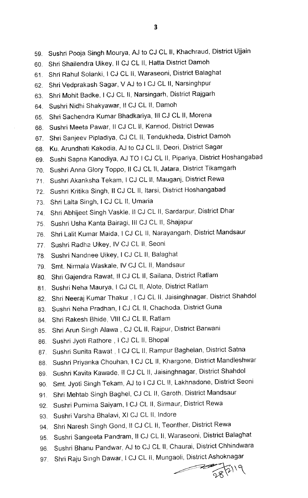- 59. Sushri Pooja Singh Mourya, AJ to CJ CL 11, Khachraud, District Ujjain
- 60. Shri Shailendra Uikey, II CJ CL II, Hatta District Damoh
- 61, Shri Rahul Solanki,I CJ CL 11, Waraseoni, District Balaghat
- 62. Shri Vedprakash Sagar, V AJ to I CJ CL 11, Narsinghpur
- 63. Shri Mohit Badke,I CJ CL 11, Narsingarh, District Rajgarh
- 64. Sushri Nidhi Shakyawar, II CJ CL II, Damoh
- 65. Shri Sachendra Kumar Bhadkariya, III CJ CL II, Morena
- 66. Sushri Meeta Pawar, II CJ CL II, Kannod, District Dewas
- 67. Shri Sanjeev Pipladiya, CJ CL 11, Tendukheda, District Damoh
- 68. Ku. Arundhati Kakodia, AJ to CJ CL II, Deori, District Sagar
- 69. Sushi Sapna Kanodiya, AJ TO I CJ CL 11, Pipariya, District Hoshangabad
- 70. Sushri Anna Glory Toppo, II CJ CL II, Jatara, District Tikamgarh
- 71. Sushri Akanksha Tekam, I CJ CL II, Mauganj, District Rewa
- 72. Sushri Kritika Singh,11 CJ CL 11, itarsi, District Hoshangabad
- 73. Shri Lalta Singh,I CJ CL 11, Umaria
- 74. Shri Abhijeet Singh Vaskle, II CJ CL II, Sardarpur, District Dhar
- 75. Sushri Usha Kanta Bairagi, III CJ CL II, Shajapur
- 76. Shri Lalit Kumar Maida, I CJ CL II, Narayangarh, District Mandsaur
- 77. Sushri Radha Uikey, IV CJ CL II, Seoni
- 78. Sushri Nandnee Uikey, I CJ CL II, Balaghat
- 79. Smt. Nirmala Waskale, lv CJ CL 11, Mandsaur
- 80. Shri Gajendra Rawat, II CJ CL II, Sailana, District Ratlam
- 81. Sushri Neha Maurya, I CJ CL II, Alote, District Ratlam
- 82. Shri Neeraj Kumar Thakur, I CJ CL II, Jaisinghnagar, District Shahdol
- 83. Sushri Neha Pradhan, I CJ CL II, Chachoda, District Guna
- 84. Shri Rakesh Bhide, VIII CJ CL II, Ratlam
- 85. Shri Arun Singh Alawa , CJ CL 11. Rajpur, District Barwani
- 86. Sushri Jyoti Rathore, I CJ CL II, Bhopal
- 87. Sushri Sunita Rawat, I CJ CL II, Rampur Baghelan, District Satna
- 88. Sushri Priyanka Chouhan, I CJ CL II, Khargone, District Mandleshwar
- 89. Sushri Kavita Kawade, II CJ CL II, Jaisinghnagar, District Shahdol
- 90. Smt. Jyoti Singh Tekam, AJ to I CJ CL 11, Lakhnadone, District Seoni
- 91. Shri Mehtab Singh Baghel, CJ CL II, Garoth, District Mandsaur
- 92. Sushri Purnima Saiyam, I CJ CL II, Sirmaur, District Rewa
- 93. Sushri Varsha Bhalavi, XI CJ CL II, Indore
- 94. Shri Naresh Singh Gond, II CJ CL II, Teonther, District Rewa
- 95. Sushri Sangeeta Pandram, II CJ CL II, Waraseoni, District Balaghat
- 96. Sushri Bhanu Pandwar, AJ to CJ CL II, Chaurai, District Chhindwara
- 97. Shri Raju Singh Dawar, I CJ CL II, Mungaoli, District Ashoknagar  $28719$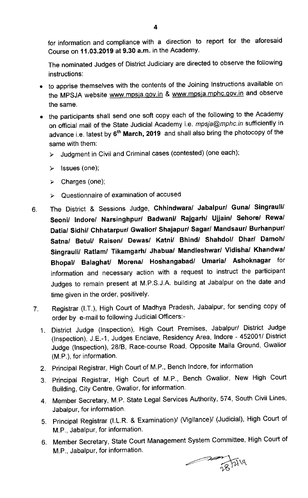for information and compliance with a direction to report for the aforesaid Course on 11.03.2019 at 9.30 a.m. in the Academy.

The nominated Judges of District Judiciary are directed to observe the following instructions:

- to apprise themselves with the contents of the Joining Instructions available on the MPSJA website <u>www.mpsja.gov.in</u> & <u>www.mpsja.mphc.gov.in</u> and observe the same.
- the participants shall send one soft copy each of the following to the Academy on official mail of the State Judicial Academy i.e. mpsja@mphc.in sufficiently in advance i.e. latest by 6<sup>th</sup> March, 2019 and shall also bring the photocopy of the same with them:
	- > Judgment in Civil and Criminal cases (contested) (one each);
	- $\triangleright$  Issues (one);
	- > Charges (one);
	- $\triangleright$  Questionnaire of examination of accused
- The District & Sessions Judge, Chhindwara/ Jabalpur/ Guna/ Singrauli/ 6. Seoni/ lndore/ Narsinghpur/ Badwani/ Rajgarh/ Ujjain/ Sehore/ Rewa/ Datia/ Sidhi/ Chhatarpur/ Gwalior/ Shajapur/ Sagar/ Mandsaur/ Burhanpur/ Satna/ Betul/ Raisen/ Dewas/ Katni/ Bhind/ Shahdol/ Dhar/ Damoh/ Singrauli/ Ratlam/ Tikamgarh/ Jhabua/ Mandleshwar/ Vidisha/ Khandwa/ Bhopal/ Balaghat/ Morena/ Hoshangabad/ Umaria/ Ashoknagar for information and necessary action with a request to instruct the participant Judges to remain present at M.P.S.J.A. building at Jabalpur on the date and time given in the order, positively.
- Registrar (I.T.), High Court of Madhya Pradesh, Jabalpur, for sending copy of  $7<sup>1</sup>$ order by e-mail to following Judicial Officers:-
	- 1. District Judge (Inspection), High Court Premises, Jabalpur/ District Judge (Inspection), J.E.-1, Judges Enclave, Residency Area, lndore -452001/ District Judge (Inspection), 28/8, Race-course Road, Opposite Maila Ground, Gwalior (M.P.), for information.
	- 2. Principal Registrar, High Court of M.P., Bench lndore, for information
	- 3. Principal Registrar, High Court of M.P., Bench Gwalior, New High Court Building, City Centre, Gwalior, for information.
	- 4. Member Secretary, M.P. State Legal Services Authority, 574, South Civil Lines, Jabalpur, for information.
	- 5. Principal Registrar (I.L.R. & Examination)/ (Vigilance)/ (Judicial), High Court of M.P., Jabalpur, for information.
	- 6. Member Secretary, State Court Management System Committee, High Court of M.P., Jabalpur, for information.